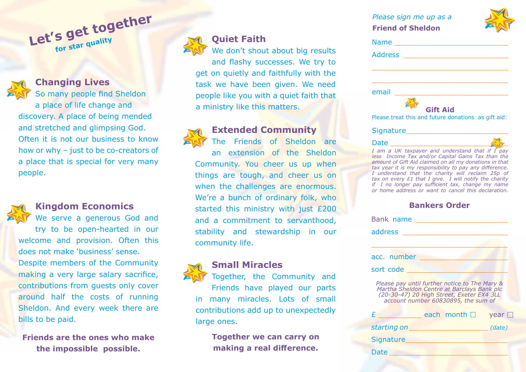| Please sign me up as a<br><b>Friend of Sheldon</b>                                                                                                                                                                                                                                                                                                                                                                                                   |  |
|------------------------------------------------------------------------------------------------------------------------------------------------------------------------------------------------------------------------------------------------------------------------------------------------------------------------------------------------------------------------------------------------------------------------------------------------------|--|
| Name __________________________                                                                                                                                                                                                                                                                                                                                                                                                                      |  |
|                                                                                                                                                                                                                                                                                                                                                                                                                                                      |  |
| <u> 1989 - Johann Stein, marwolaethau a bhann an t-Amhainn an t-Amhainn an t-Amhainn an t-Amhainn an t-Amhainn an</u>                                                                                                                                                                                                                                                                                                                                |  |
| email<br><u> 1980 - Johann Barbara, martxa a</u><br><b>Gift Aid</b><br>Please treat this and future donations as gift aid:                                                                                                                                                                                                                                                                                                                           |  |
|                                                                                                                                                                                                                                                                                                                                                                                                                                                      |  |
| I am a UK taxpayer and understand that if I pay<br>less Income Tax and/or Capital Gains Tax than the<br>amount of Gift Aid claimed on all my donations in that<br>tax year it is my responsibility to pay any difference.<br>I understand that the charity will reclaim 25p of<br>tax on every £1 that I give. I will notify the charity<br>if I no longer pay sufficient tax, change my name<br>or home address or want to cancel this declaration. |  |

### **Bankers Order**

| Bank name                                                                                                                                                                       |        |  |
|---------------------------------------------------------------------------------------------------------------------------------------------------------------------------------|--------|--|
| address                                                                                                                                                                         |        |  |
|                                                                                                                                                                                 |        |  |
| acc. number                                                                                                                                                                     |        |  |
| sort code                                                                                                                                                                       |        |  |
| Please pay until further notice to The Mary &<br>Martha Sheldon Centre at Barclays Bank plc<br>(20-30-47) 20 High Street, Exeter EX4 3LL<br>account number 60830895, the sum of |        |  |
| each month $\square$<br>£                                                                                                                                                       | year   |  |
| starting on                                                                                                                                                                     | (date) |  |
| <b>Signature</b>                                                                                                                                                                |        |  |
| Date                                                                                                                                                                            |        |  |



**Changing Lives**

So many people find Sheldon a place of life change and discovery. A place of being mended and stretched and glimpsing God. Often it is not our business to know how or why – just to be co-creators of a place that is special for very many people.

## **Kingdom Economics**

We serve a generous God and try to be open-hearted in our welcome and provision. Often this does not make 'business' sense. Despite members of the Community making a very large salary sacrifice, contributions from guests only cover around half the costs of running Sheldon. And every week there are bills to be paid.

**Friends are the ones who make the impossible possible.**



## **Quiet Faith**

We don't shout about big results and flashy successes. We try to get on quietly and faithfully with the task we have been given. We need people like you with a quiet faith that a ministry like this matters.



# **Extended Community**

The Friends of Sheldon are an extension of the Sheldon Community. You cheer us up when things are tough, and cheer us on when the challenges are enormous. We're a bunch of ordinary folk, who started this ministry with just £200 and a commitment to servanthood, stability and stewardship in our community life.



Together, the Community and Friends have played our parts in many miracles. Lots of small contributions add up to unexpectedly large ones.

> **Together we can carry on making a real difference.**